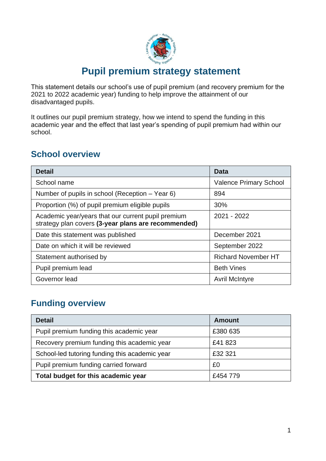

## **Pupil premium strategy statement**

This statement details our school's use of pupil premium (and recovery premium for the 2021 to 2022 academic year) funding to help improve the attainment of our disadvantaged pupils.

It outlines our pupil premium strategy, how we intend to spend the funding in this academic year and the effect that last year's spending of pupil premium had within our school.

## **School overview**

| <b>Detail</b>                                                                                             | Data                          |
|-----------------------------------------------------------------------------------------------------------|-------------------------------|
| School name                                                                                               | <b>Valence Primary School</b> |
| Number of pupils in school (Reception – Year 6)                                                           | 894                           |
| Proportion (%) of pupil premium eligible pupils                                                           | 30%                           |
| Academic year/years that our current pupil premium<br>strategy plan covers (3-year plans are recommended) | 2021 - 2022                   |
| Date this statement was published                                                                         | December 2021                 |
| Date on which it will be reviewed                                                                         | September 2022                |
| Statement authorised by                                                                                   | <b>Richard November HT</b>    |
| Pupil premium lead                                                                                        | <b>Beth Vines</b>             |
| Governor lead                                                                                             | <b>Avril McIntyre</b>         |

## **Funding overview**

| <b>Detail</b>                                  | <b>Amount</b> |
|------------------------------------------------|---------------|
| Pupil premium funding this academic year       | £380 635      |
| Recovery premium funding this academic year    | £41823        |
| School-led tutoring funding this academic year | £32 321       |
| Pupil premium funding carried forward          | £0            |
| Total budget for this academic year            | £454 779      |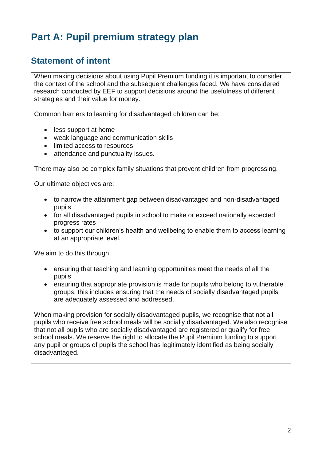# **Part A: Pupil premium strategy plan**

## **Statement of intent**

When making decisions about using Pupil Premium funding it is important to consider the context of the school and the subsequent challenges faced. We have considered research conducted by EEF to support decisions around the usefulness of different strategies and their value for money.

Common barriers to learning for disadvantaged children can be:

- less support at home
- weak language and communication skills
- limited access to resources
- attendance and punctuality issues.

There may also be complex family situations that prevent children from progressing.

Our ultimate objectives are:

- to narrow the attainment gap between disadvantaged and non-disadvantaged pupils
- for all disadvantaged pupils in school to make or exceed nationally expected progress rates
- to support our children's health and wellbeing to enable them to access learning at an appropriate level.

We aim to do this through:

- ensuring that teaching and learning opportunities meet the needs of all the pupils
- ensuring that appropriate provision is made for pupils who belong to vulnerable groups, this includes ensuring that the needs of socially disadvantaged pupils are adequately assessed and addressed.

When making provision for socially disadvantaged pupils, we recognise that not all pupils who receive free school meals will be socially disadvantaged. We also recognise that not all pupils who are socially disadvantaged are registered or qualify for free school meals. We reserve the right to allocate the Pupil Premium funding to support any pupil or groups of pupils the school has legitimately identified as being socially disadvantaged.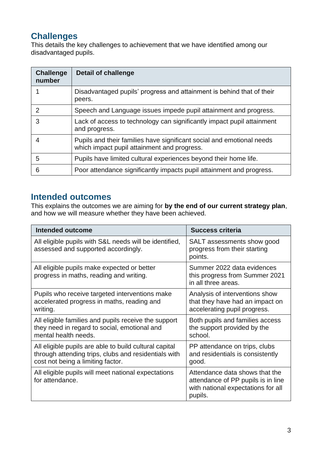## **Challenges**

This details the key challenges to achievement that we have identified among our disadvantaged pupils.

| <b>Challenge</b><br>number | <b>Detail of challenge</b>                                                                                           |
|----------------------------|----------------------------------------------------------------------------------------------------------------------|
|                            | Disadvantaged pupils' progress and attainment is behind that of their<br>peers.                                      |
| 2                          | Speech and Language issues impede pupil attainment and progress.                                                     |
| 3                          | Lack of access to technology can significantly impact pupil attainment<br>and progress.                              |
|                            | Pupils and their families have significant social and emotional needs<br>which impact pupil attainment and progress. |
| 5                          | Pupils have limited cultural experiences beyond their home life.                                                     |
| 6                          | Poor attendance significantly impacts pupil attainment and progress.                                                 |

### **Intended outcomes**

This explains the outcomes we are aiming for **by the end of our current strategy plan**, and how we will measure whether they have been achieved.

| <b>Intended outcome</b>                                                                                                                             | <b>Success criteria</b>                                                                                               |
|-----------------------------------------------------------------------------------------------------------------------------------------------------|-----------------------------------------------------------------------------------------------------------------------|
| All eligible pupils with S&L needs will be identified,<br>assessed and supported accordingly.                                                       | SALT assessments show good<br>progress from their starting<br>points.                                                 |
| All eligible pupils make expected or better<br>progress in maths, reading and writing.                                                              | Summer 2022 data evidences<br>this progress from Summer 2021<br>in all three areas.                                   |
| Pupils who receive targeted interventions make<br>accelerated progress in maths, reading and<br>writing.                                            | Analysis of interventions show<br>that they have had an impact on<br>accelerating pupil progress.                     |
| All eligible families and pupils receive the support<br>they need in regard to social, emotional and<br>mental health needs.                        | Both pupils and families access<br>the support provided by the<br>school.                                             |
| All eligible pupils are able to build cultural capital<br>through attending trips, clubs and residentials with<br>cost not being a limiting factor. | PP attendance on trips, clubs<br>and residentials is consistently<br>good.                                            |
| All eligible pupils will meet national expectations<br>for attendance.                                                                              | Attendance data shows that the<br>attendance of PP pupils is in line<br>with national expectations for all<br>pupils. |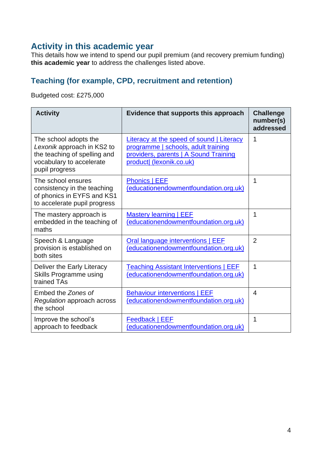## **Activity in this academic year**

This details how we intend to spend our pupil premium (and recovery premium funding) **this academic year** to address the challenges listed above.

### **Teaching (for example, CPD, recruitment and retention)**

Budgeted cost: £275,000

| <b>Activity</b>                                                                                                                   | Evidence that supports this approach                                                                                                                         | <b>Challenge</b><br>number(s)<br>addressed |
|-----------------------------------------------------------------------------------------------------------------------------------|--------------------------------------------------------------------------------------------------------------------------------------------------------------|--------------------------------------------|
| The school adopts the<br>Lexonik approach in KS2 to<br>the teaching of spelling and<br>vocabulary to accelerate<br>pupil progress | <b>Literacy at the speed of sound   Literacy</b><br>programme   schools, adult training<br>providers, parents   A Sound Training<br>product  (lexonik.co.uk) | 1                                          |
| The school ensures<br>consistency in the teaching<br>of phonics in EYFS and KS1<br>to accelerate pupil progress                   | Phonics   EEF<br>(educationendowmentfoundation.org.uk)                                                                                                       | 1                                          |
| The mastery approach is<br>embedded in the teaching of<br>maths                                                                   | <b>Mastery learning   EEF</b><br>(educationendowmentfoundation.org.uk)                                                                                       | 1                                          |
| Speech & Language<br>provision is established on<br>both sites                                                                    | Oral language interventions   EEF<br>(educationendowmentfoundation.org.uk)                                                                                   | $\overline{2}$                             |
| Deliver the Early Literacy<br>Skills Programme using<br>trained TAs                                                               | <b>Teaching Assistant Interventions   EEF</b><br>(educationendowmentfoundation.org.uk)                                                                       | 1                                          |
| Embed the Zones of<br>Regulation approach across<br>the school                                                                    | <b>Behaviour interventions   EEF</b><br>(educationendowmentfoundation.org.uk)                                                                                | $\overline{4}$                             |
| Improve the school's<br>approach to feedback                                                                                      | <b>Feedback   EEF</b><br>(educationendowmentfoundation.org.uk)                                                                                               | 1                                          |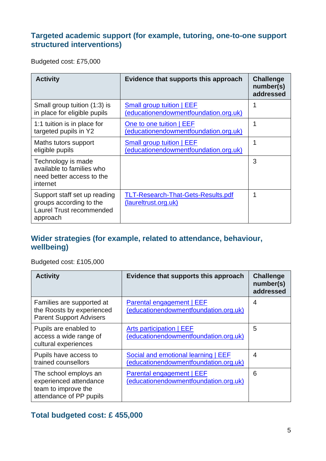#### **Targeted academic support (for example, tutoring, one-to-one support structured interventions)**

Budgeted cost: £75,000

| <b>Activity</b>                                                                                 | Evidence that supports this approach                               | <b>Challenge</b><br>number(s)<br>addressed |
|-------------------------------------------------------------------------------------------------|--------------------------------------------------------------------|--------------------------------------------|
| Small group tuition (1:3) is<br>in place for eligible pupils                                    | Small group tuition   EEF<br>(educationendowmentfoundation.org.uk) | 1                                          |
| 1:1 tuition is in place for<br>targeted pupils in Y2                                            | One to one tuition   EEF<br>(educationendowmentfoundation.org.uk)  | 1                                          |
| Maths tutors support<br>eligible pupils                                                         | Small group tuition   EEF<br>(educationendowmentfoundation.org.uk) |                                            |
| Technology is made<br>available to families who<br>need better access to the<br>internet        |                                                                    | 3                                          |
| Support staff set up reading<br>groups according to the<br>Laurel Trust recommended<br>approach | <b>TLT-Research-That-Gets-Results.pdf</b><br>(laureltrust.org.uk)  | 1                                          |

#### **Wider strategies (for example, related to attendance, behaviour, wellbeing)**

Budgeted cost: £105,000

| <b>Activity</b>                                                                                   | Evidence that supports this approach                                         | <b>Challenge</b><br>number(s)<br>addressed |
|---------------------------------------------------------------------------------------------------|------------------------------------------------------------------------------|--------------------------------------------|
| Families are supported at<br>the Roosts by experienced<br><b>Parent Support Advisers</b>          | <b>Parental engagement   EEF</b><br>(educationendowmentfoundation.org.uk)    | 4                                          |
| Pupils are enabled to<br>access a wide range of<br>cultural experiences                           | Arts participation   EEF<br>(educationendowmentfoundation.org.uk)            | 5                                          |
| Pupils have access to<br>trained counsellors                                                      | Social and emotional learning   EEF<br>(educationendowmentfoundation.org.uk) | $\overline{4}$                             |
| The school employs an<br>experienced attendance<br>team to improve the<br>attendance of PP pupils | Parental engagement   EEF<br>(educationendowmentfoundation.org.uk)           | 6                                          |

### **Total budgeted cost: £ 455,000**